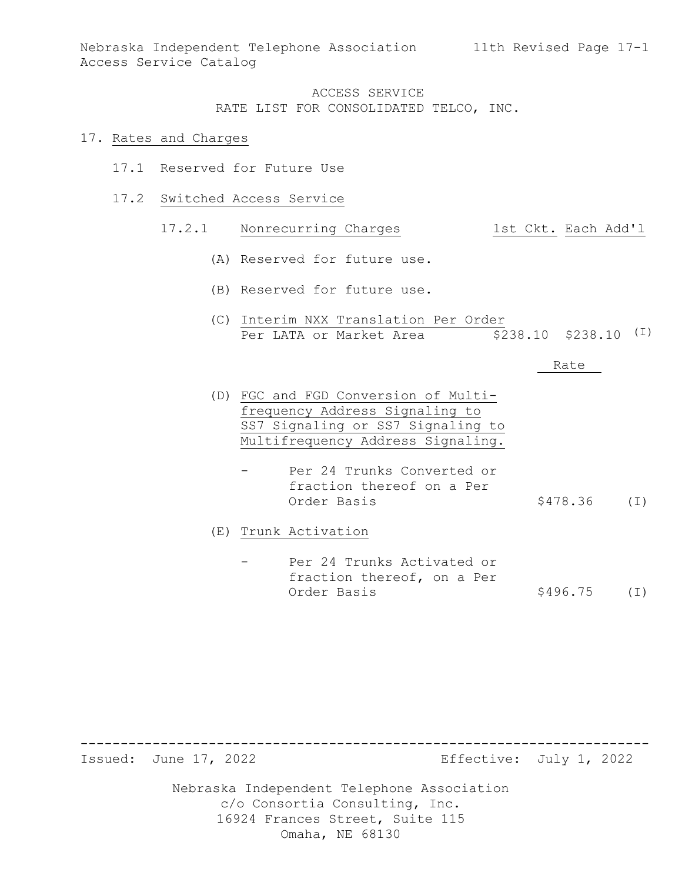Nebraska Independent Telephone Association 11th Revised Page 17-1 Access Service Catalog

# ACCESS SERVICE RATE LIST FOR CONSOLIDATED TELCO, INC.

#### 17. Rates and Charges

- 17.1 Reserved for Future Use
- 17.2 Switched Access Service

### 17.2.1 Nonrecurring Charges 1st Ckt. Each Add'l

- (A) Reserved for future use.
- (B) Reserved for future use.
- (C) Interim NXX Translation Per Order Per LATA or Market Area (\$238.10 \$238.10 (I)

#### Rate

- (D) FGC and FGD Conversion of Multifrequency Address Signaling to SS7 Signaling or SS7 Signaling to Multifrequency Address Signaling.
	- Per 24 Trunks Converted or fraction thereof on a Per  $$478.36$  (I)

(E) Trunk Activation

Per 24 Trunks Activated or fraction thereof, on a Per<br>Order Basis  $$496.75$  (I)

----------------------------------------------------------------------- Effective: July 1, 2022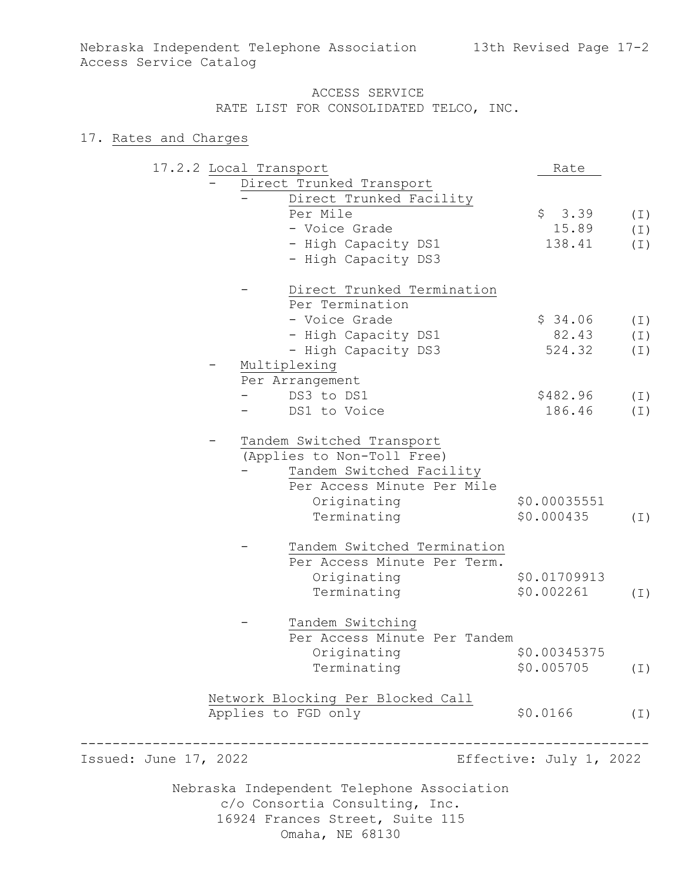# 17. Rates and Charges

|                       | 17.2.2 Local Transport |                                            | Rate                    |          |
|-----------------------|------------------------|--------------------------------------------|-------------------------|----------|
|                       |                        | Direct Trunked Transport                   |                         |          |
|                       |                        | Direct Trunked Facility                    |                         |          |
|                       |                        | Per Mile                                   | \$3.39                  | $(\bot)$ |
|                       |                        | - Voice Grade                              | 15.89                   | $(\bot)$ |
|                       |                        | - High Capacity DS1                        | 138.41                  | $(\bot)$ |
|                       |                        | - High Capacity DS3                        |                         |          |
|                       |                        | Direct Trunked Termination                 |                         |          |
|                       |                        | Per Termination                            |                         |          |
|                       |                        | - Voice Grade                              | \$34.06                 | $(\bot)$ |
|                       |                        | - High Capacity DS1                        | 82.43                   | $(\bot)$ |
|                       |                        | - High Capacity DS3                        | 524.32                  | (I)      |
|                       |                        | Multiplexing                               |                         |          |
|                       |                        | Per Arrangement                            |                         |          |
|                       |                        | DS3 to DS1                                 | \$482.96                | (I)      |
|                       |                        | DS1 to Voice                               | 186.46                  | $(\bot)$ |
|                       |                        | Tandem Switched Transport                  |                         |          |
|                       |                        | (Applies to Non-Toll Free)                 |                         |          |
|                       |                        | Tandem Switched Facility                   |                         |          |
|                       |                        | Per Access Minute Per Mile                 |                         |          |
|                       |                        | Originating                                | \$0.00035551            |          |
|                       |                        | Terminating                                | \$0.000435              | $(\bot)$ |
|                       |                        | Tandem Switched Termination                |                         |          |
|                       |                        | Per Access Minute Per Term.                |                         |          |
|                       |                        | Originating                                | \$0.01709913            |          |
|                       |                        | Terminating                                | \$0.002261              | $(\top)$ |
|                       |                        | Tandem Switching                           |                         |          |
|                       |                        | Per Access Minute Per Tandem               |                         |          |
|                       |                        | Originating                                | \$0.00345375            |          |
|                       |                        | Terminating                                | \$0.005705              | (I)      |
|                       |                        | Network Blocking Per Blocked Call          |                         |          |
|                       |                        | Applies to FGD only                        | \$0.0166                | $(\bot)$ |
| Issued: June 17, 2022 |                        |                                            | Effective: July 1, 2022 |          |
|                       |                        |                                            |                         |          |
|                       |                        | Nebraska Independent Telephone Association |                         |          |

c/o Consortia Consulting, Inc. 16924 Frances Street, Suite 115 Omaha, NE 68130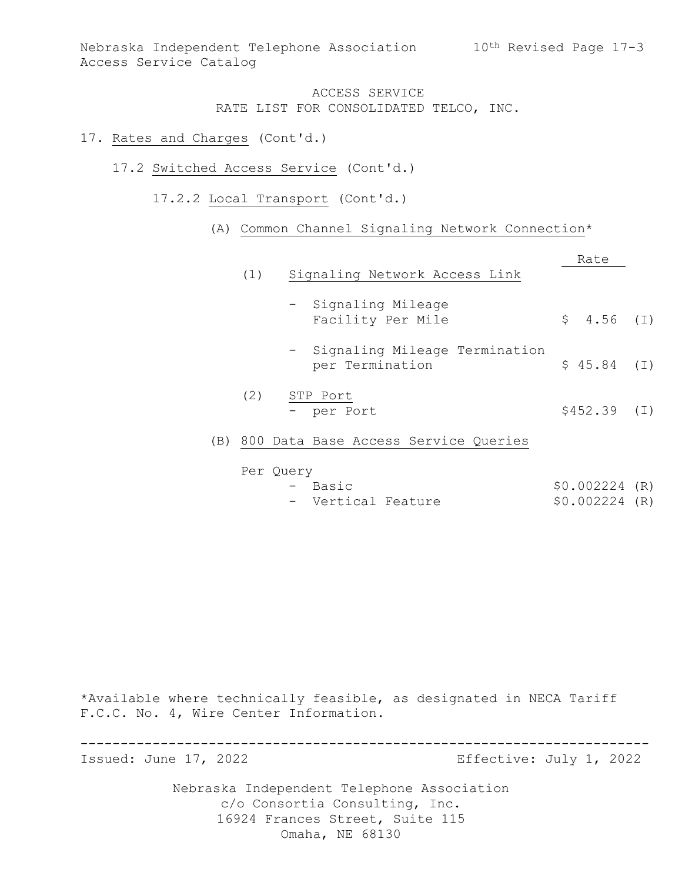### 17. Rates and Charges (Cont'd.)

- 17.2 Switched Access Service (Cont'd.)
	- 17.2.2 Local Transport (Cont'd.)
		- (A) Common Channel Signaling Network Connection\*

|     | (1) | Signaling Network Access Link                      | Rate          |  |
|-----|-----|----------------------------------------------------|---------------|--|
|     |     | - Signaling Mileage<br>Facility Per Mile           | $$4.56$ (I)   |  |
|     |     | - Signaling Mileage Termination<br>per Termination | $$45.84$ (I)  |  |
|     | (2) | STP Port<br>- per Port                             | $$452.39$ (I) |  |
| (B) |     | 800 Data Base Access Service Queries               |               |  |

- Per Query<br>- Basic - Basic \$0.002224  $$0.002224$  (R)
	- Vertical Feature  $$0.002224$  $$0.002224$  (R)

\*Available where technically feasible, as designated in NECA Tariff F.C.C. No. 4, Wire Center Information.

----------------------------------------------------------------------- Effective: July 1, 2022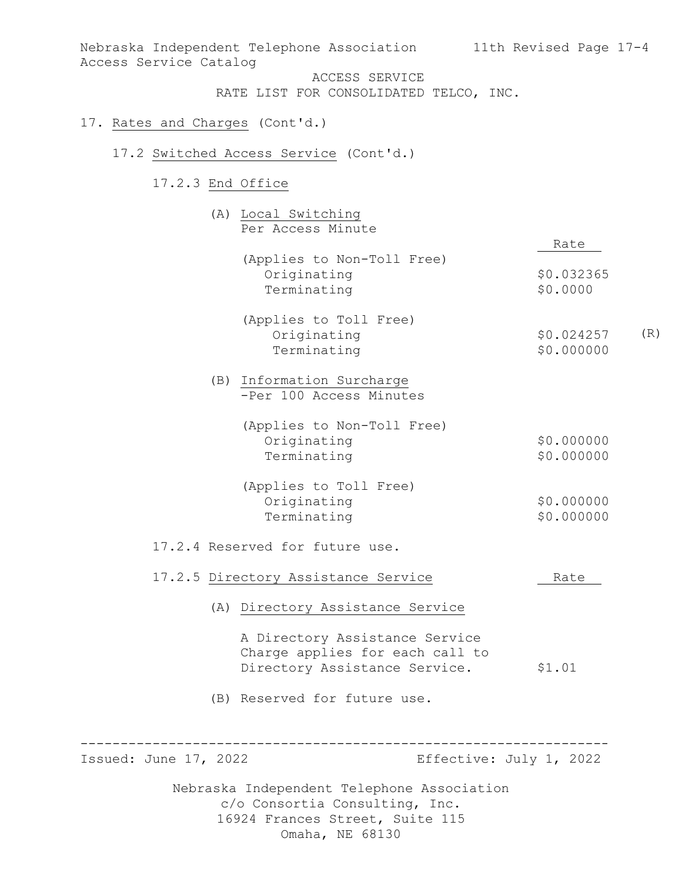Nebraska Independent Telephone Association 11th Revised Page 17-4 Access Service Catalog ACCESS SERVICE RATE LIST FOR CONSOLIDATED TELCO, INC. 17. Rates and Charges (Cont'd.) 17.2 Switched Access Service (Cont'd.) 17.2.3 End Office (A) Local Switching Per Access Minute Rate (Applies to Non-Toll Free)

> (Applies to Toll Free) Originating Terminating \$0.000000 \$0.024257 (R)

Originating \$0.032365<br>Terminating \$0.0000

(B) Information Surcharge -Per 100 Access Minutes

Terminating

| (Applies to Non-Toll Free) |            |
|----------------------------|------------|
| Originating                | \$0.000000 |
| Terminating                | \$0.000000 |

| (Applies to Toll Free) |            |
|------------------------|------------|
| Originating            | \$0.000000 |
| Terminating            | \$0.000000 |

# 17.2.4 Reserved for future use.

# 17.2.5 Directory Assistance Service Mate

(A) Directory Assistance Service

A Directory Assistance Service Charge applies for each call to Directory Assistance Service. \$1.01

(B) Reserved for future use.

----------------------------------------------------------------------- Effective: July 1, 2022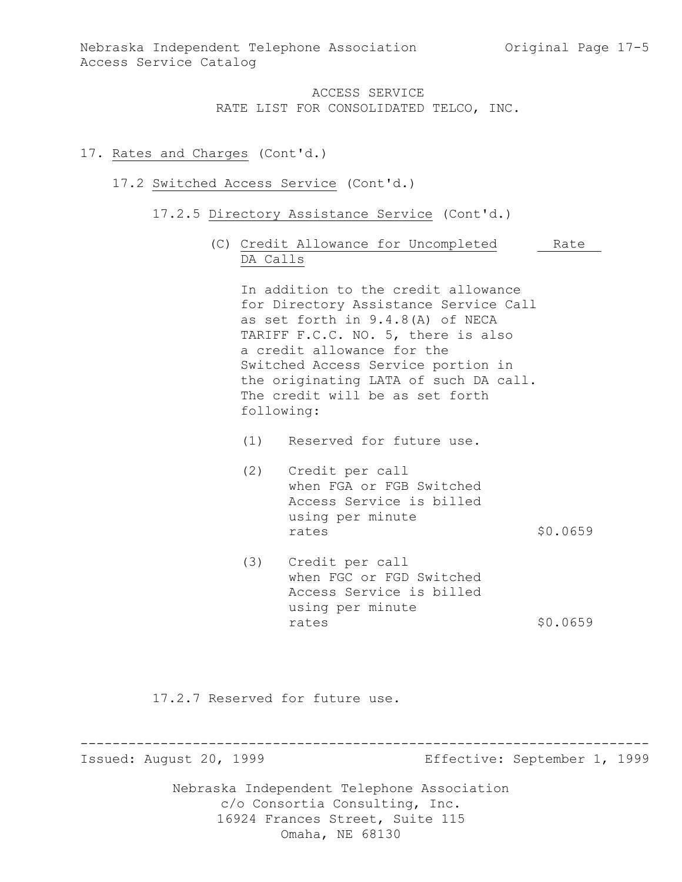# 17. Rates and Charges (Cont'd.)

### 17.2 Switched Access Service (Cont'd.)

- 17.2.5 Directory Assistance Service (Cont'd.)
	- (C) Credit Allowance for Uncompleted Rate DA Calls

In addition to the credit allowance for Directory Assistance Service Call as set forth in 9.4.8(A) of NECA TARIFF F.C.C. NO. 5, there is also a credit allowance for the Switched Access Service portion in the originating LATA of such DA call. The credit will be as set forth following:

- (1) Reserved for future use.
- (2) Credit per call when FGA or FGB Switched Access Service is billed using per minute rates \$0.0659
- (3) Credit per call when FGC or FGD Switched Access Service is billed using per minute rates \$0.0659

17.2.7 Reserved for future use.

----------------------------------------------------------------------- Effective: September 1, 1999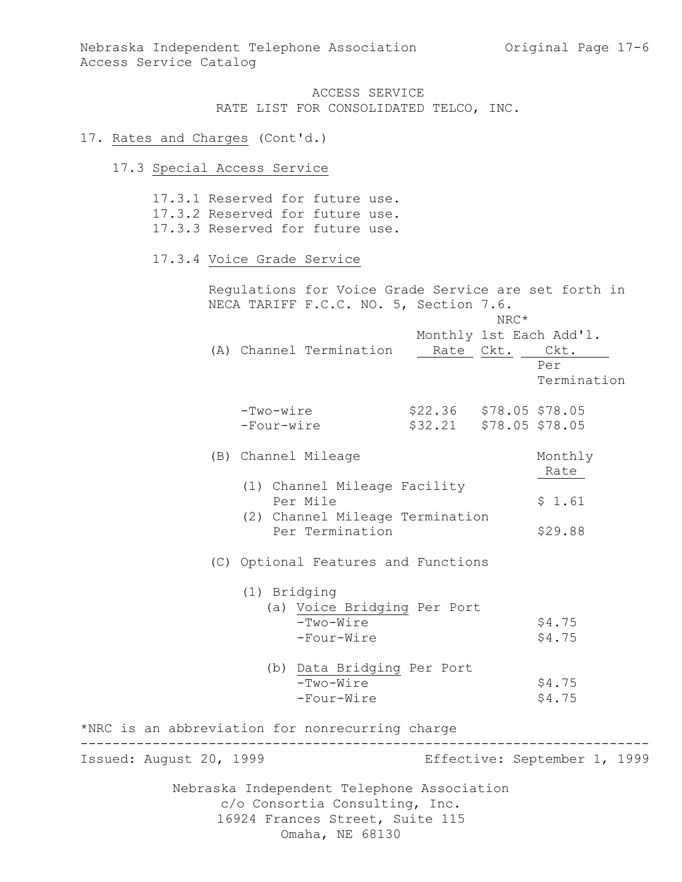### 17. Rates and Charges (Cont'd.)

17.3 Special Access Service

Nebraska Independent Telephone Association c/o Consortia Consulting, Inc. 17.3.1 Reserved for future use. 17.3.2 Reserved for future use. 17.3.3 Reserved for future use. 17.3.4 Voice Grade Service Regulations for Voice Grade Service are set forth in NECA TARIFF F.C.C. NO. 5, Section 7.6. NRC\* Monthly 1st Each Add'l. (A) Channel Termination Rate Ckt. Ckt. Per Termination -Two-wire \$22.36 \$78.05 \$78.05 -Four-wire \$32.21 \$78.05 \$78.05 (B) Channel Mileage Monthly Rate (1) Channel Mileage Facility Per Mile  $$1.61$  (2) Channel Mileage Termination Per Termination \$29.88 (C) Optional Features and Functions (1) Bridging (a) Voice Bridging Per Port -Two-Wire \$4.75<br>-Four-Wire \$4.75  $-Four-Wire$  (b) Data Bridging Per Port -Two-Wire \$4.75<br>-Four-Wire \$4.75  $-Four-Wire$ \*NRC is an abbreviation for nonrecurring charge ----------------------------------------------------------------------- Effective: September 1, 1999

16924 Frances Street, Suite 115

Omaha, NE 68130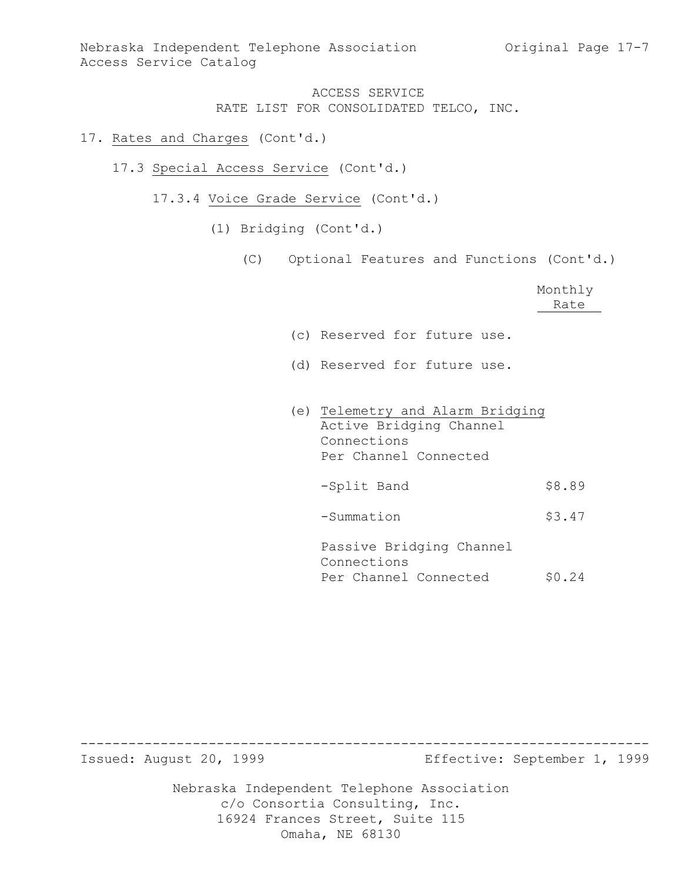### 17. Rates and Charges (Cont'd.)

- 17.3 Special Access Service (Cont'd.)
	- 17.3.4 Voice Grade Service (Cont'd.)
		- (1) Bridging (Cont'd.)
			- (C) Optional Features and Functions (Cont'd.)

|                                                                                                     | Monthly<br>Rate |
|-----------------------------------------------------------------------------------------------------|-----------------|
| (c) Reserved for future use.                                                                        |                 |
| (d) Reserved for future use.                                                                        |                 |
| (e) Telemetry and Alarm Bridging<br>Active Bridging Channel<br>Connections<br>Per Channel Connected |                 |
| -Split Band                                                                                         | \$8.89          |
| -Summation                                                                                          | \$3.47          |
| Passive Bridging Channel<br>Connections<br>Per Channel Connected                                    | \$0.24          |

----------------------------------------------------------------------- Effective: September 1, 1999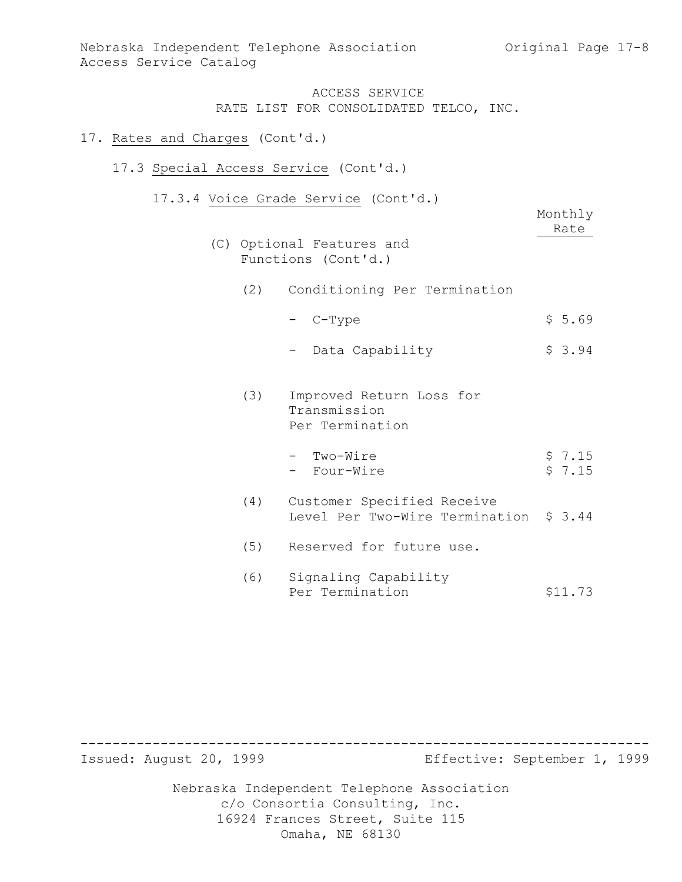### 17. Rates and Charges (Cont'd.)

# 17.3 Special Access Service (Cont'd.)

17.3.4 Voice Grade Service (Cont'd.)

| (C) |     | Optional Features and<br>Functions (Cont'd.)                         | Monthly<br>Rate  |
|-----|-----|----------------------------------------------------------------------|------------------|
|     |     | (2) Conditioning Per Termination                                     |                  |
|     |     | - C-Type                                                             | \$5.69           |
|     |     | Data Capability                                                      | \$3.94           |
|     | (3) | Improved Return Loss for<br>Transmission<br>Per Termination          |                  |
|     |     | - Two-Wire<br>- Four-Wire                                            | \$7.15<br>\$7.15 |
|     | (4) | Customer Specified Receive<br>Level Per Two-Wire Termination \$ 3.44 |                  |
|     | (5) | Reserved for future use.                                             |                  |
|     | (6) | Signaling Capability                                                 |                  |

Per Termination \$11.73

----------------------------------------------------------------------- Effective: September 1, 1999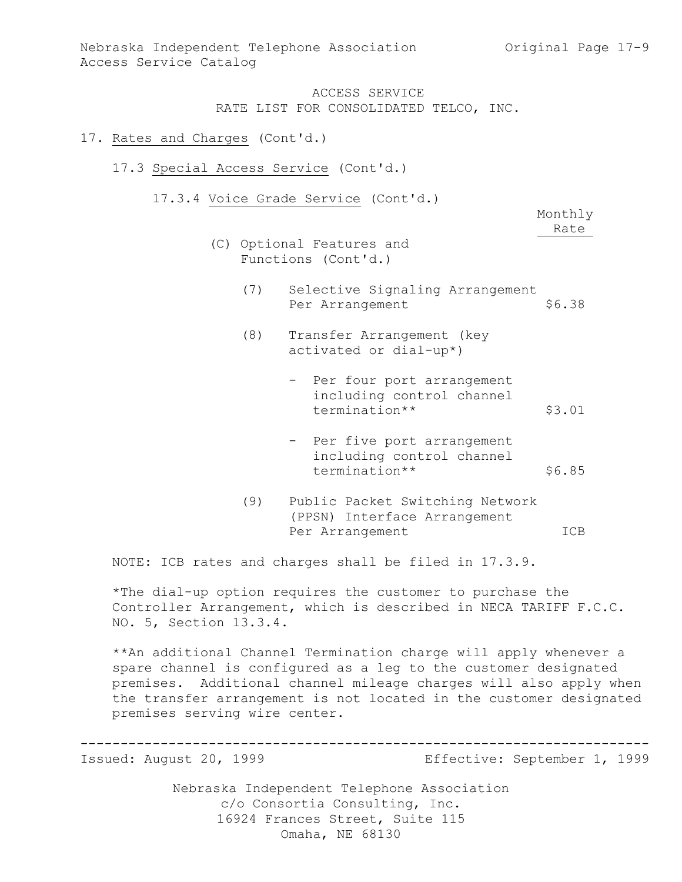#### 17. Rates and Charges (Cont'd.)

- 17.3 Special Access Service (Cont'd.)
	- 17.3.4 Voice Grade Service (Cont'd.)

Monthly Rate

- (C) Optional Features and Functions (Cont'd.)
	- (7) Selective Signaling Arrangement Per Arrangement
	- (8) Transfer Arrangement (key activated or dial-up\*)
		- Per four port arrangement including control channel termination\*\* \$3.01
		- Per five port arrangement including control channel termination\*\* \$6.85
	- (9) Public Packet Switching Network (PPSN) Interface Arrangement Per Arrangement ICB

NOTE: ICB rates and charges shall be filed in 17.3.9.

\*The dial-up option requires the customer to purchase the Controller Arrangement, which is described in NECA TARIFF F.C.C. NO. 5, Section 13.3.4.

\*\*An additional Channel Termination charge will apply whenever a spare channel is configured as a leg to the customer designated premises. Additional channel mileage charges will also apply when the transfer arrangement is not located in the customer designated premises serving wire center.

----------------------------------------------------------------------- Effective: September 1, 1999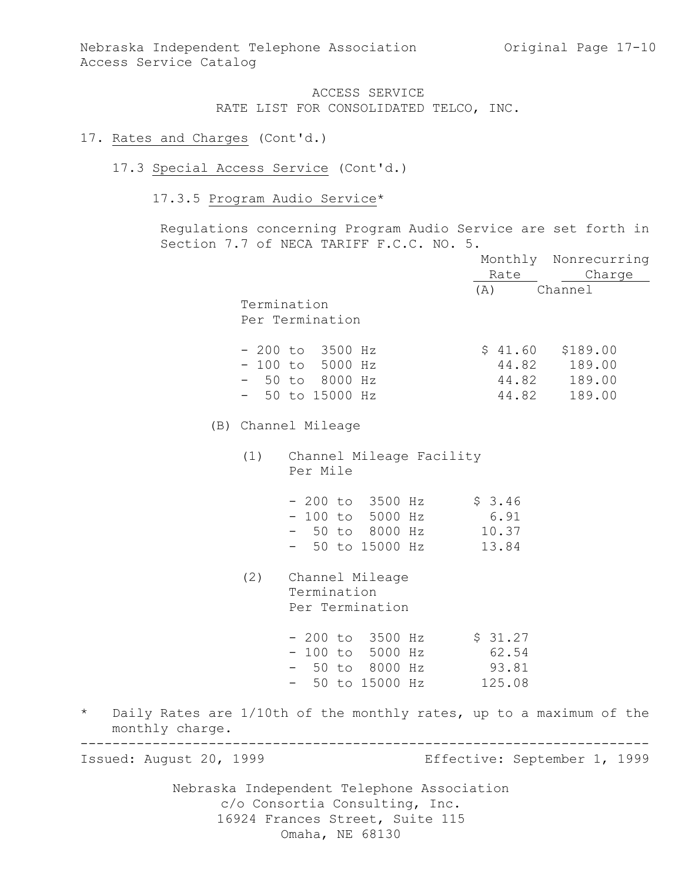#### 17. Rates and Charges (Cont'd.)

### 17.3 Special Access Service (Cont'd.)

# 17.3.5 Program Audio Service\*

Regulations concerning Program Audio Service are set forth in Section 7.7 of NECA TARIFF F.C.C. NO. 5.

|                            |     |                                                                     |             | Monthly Nonrecurring         |
|----------------------------|-----|---------------------------------------------------------------------|-------------|------------------------------|
|                            |     |                                                                     |             | Rate Charge                  |
|                            |     |                                                                     | (A) Channel |                              |
|                            |     | Termination                                                         |             |                              |
|                            |     | Per Termination                                                     |             |                              |
|                            |     | $-200$ to $3500$ Hz                                                 |             | $$41.60$ $$189.00$           |
|                            |     | $-100$ to 5000 Hz                                                   |             | 44.82 189.00                 |
|                            |     | - 50 to 8000 Hz                                                     |             | 44.82 189.00                 |
|                            |     | $-50$ to 15000 Hz                                                   |             | 44.82 189.00                 |
|                            |     | (B) Channel Mileage                                                 |             |                              |
|                            | (1) | Channel Mileage Facility<br>Per Mile                                |             |                              |
|                            |     | - 200 to 3500 Hz \$ 3.46                                            |             |                              |
|                            |     | $-100$ to 5000 Hz                                                   | 6.91        |                              |
|                            |     | - 50 to 8000 Hz 10.37                                               |             |                              |
|                            |     | - 50 to 15000 Hz                                                    | 13.84       |                              |
|                            |     | (2) Channel Mileage<br>Termination<br>Per Termination               |             |                              |
|                            |     | $-200$ to 3500 Hz \$ 31.27                                          |             |                              |
|                            |     | - 100 to 5000 Hz 62.54                                              |             |                              |
|                            |     | - 50 to 8000 Hz 93.81                                               |             |                              |
|                            |     | - 50 to 15000 Hz 125.08                                             |             |                              |
| $\star$<br>monthly charge. |     | Daily Rates are 1/10th of the monthly rates, up to a maximum of the |             |                              |
| Issued: August 20, 1999    |     |                                                                     |             | Effective: September 1, 1999 |
|                            |     | Nebraska Independent Telephone Association                          |             |                              |
|                            |     | $\sim$ $\sim$ $\sim$ $\sim$ $\sim$ $\sim$ $\sim$ $\sim$             |             |                              |

c/o Consortia Consulting, Inc. 16924 Frances Street, Suite 115 Omaha, NE 68130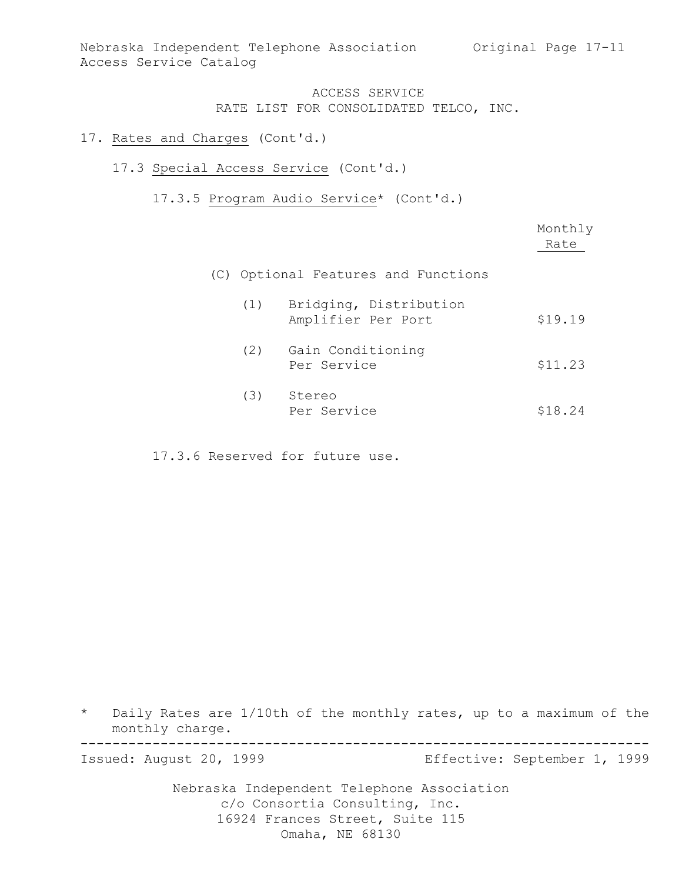Nebraska Independent Telephone Association Original Page 17-11 Access Service Catalog

# ACCESS SERVICE RATE LIST FOR CONSOLIDATED TELCO, INC.

### 17. Rates and Charges (Cont'd.)

# 17.3 Special Access Service (Cont'd.)

17.3.5 Program Audio Service\* (Cont'd.)

|     |                                              | Monthly<br>Rate |
|-----|----------------------------------------------|-----------------|
|     | (C) Optional Features and Functions          |                 |
| (1) | Bridging, Distribution<br>Amplifier Per Port | \$19.19         |
| (2) | Gain Conditioning<br>Per Service             | \$11.23         |
| (3) | Stereo<br>Per Service                        | \$18.24         |

17.3.6 Reserved for future use.

\* Daily Rates are 1/10th of the monthly rates, up to a maximum of the monthly charge.

----------------------------------------------------------------------- Issued: August 20, 1999 Effective: September 1, 1999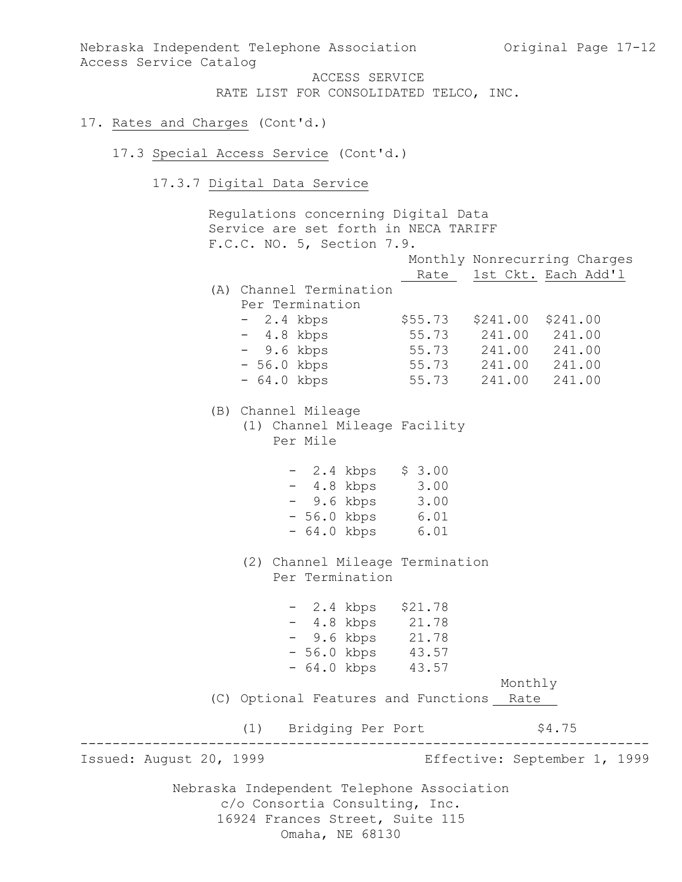Nebraska Independent Telephone Association (Original Page 17-12) Access Service Catalog

> ACCESS SERVICE RATE LIST FOR CONSOLIDATED TELCO, INC.

### 17. Rates and Charges (Cont'd.)

#### 17.3 Special Access Service (Cont'd.)

17.3.7 Digital Data Service

Nebraska Independent Telephone Association c/o Consortia Consulting, Inc. 16924 Frances Street, Suite 115 Regulations concerning Digital Data Service are set forth in NECA TARIFF F.C.C. NO. 5, Section 7.9. Monthly Nonrecurring Charges Rate 1st Ckt. Each Add'1 (A) Channel Termination Per Termination - 2.4 kbps \$55.73 \$241.00 \$241.00 - 4.8 kbps 55.73 241.00 241.00 - 9.6 kbps 55.73 241.00 241.00 - 56.0 kbps 55.73 241.00 241.00 - 64.0 kbps 55.73 241.00 241.00 (B) Channel Mileage (1) Channel Mileage Facility Per Mile - 2.4 kbps \$ 3.00 - 4.8 kbps 3.00 - 9.6 kbps 3.00 - 56.0 kbps 6.01 - 64.0 kbps 6.01 (2) Channel Mileage Termination Per Termination - 2.4 kbps \$21.78 - 4.8 kbps 21.78 - 9.6 kbps 21.78 - 56.0 kbps 43.57 - 64.0 kbps 43.57 Monthly (C) Optional Features and Functions Rate (1) Bridging Per Port \$4.75 ----------------------------------------------------------------------- Effective: September 1, 1999

Omaha, NE 68130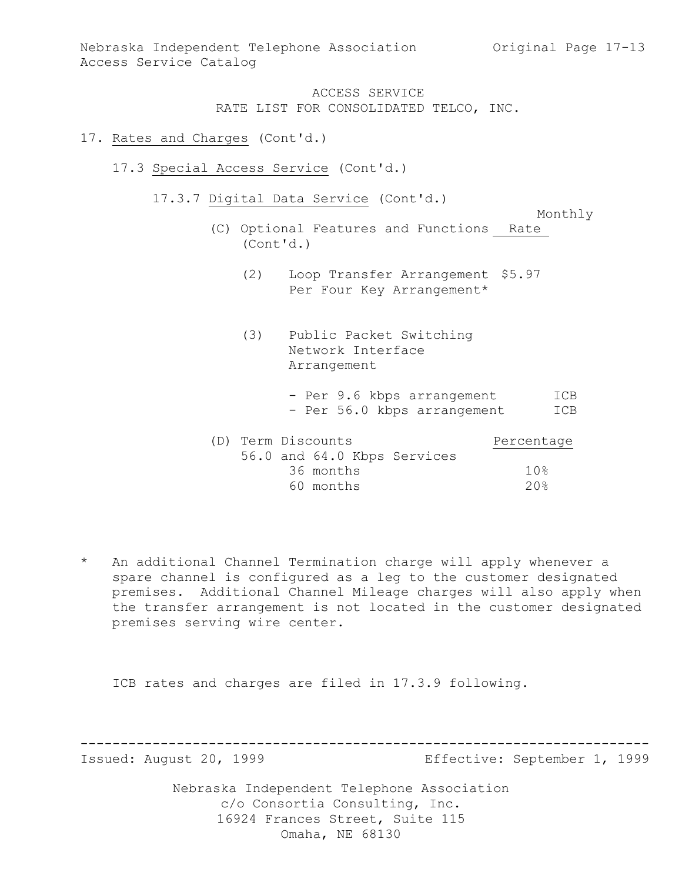Nebraska Independent Telephone Association Original Page 17-13 Access Service Catalog

> ACCESS SERVICE RATE LIST FOR CONSOLIDATED TELCO, INC.

### 17. Rates and Charges (Cont'd.)

- 17.3 Special Access Service (Cont'd.)
	- 17.3.7 Digital Data Service (Cont'd.)

Monthly

- (C) Optional Features and Functions Rate (Cont'd.)
	- (2) Loop Transfer Arrangement \$5.97 Per Four Key Arrangement\*
	- (3) Public Packet Switching Network Interface Arrangement
		- Per 9.6 kbps arrangement ICB - Per 56.0 kbps arrangement ICB

| (D) Term Discounts |           |                             | Percentage      |
|--------------------|-----------|-----------------------------|-----------------|
|                    |           | 56.0 and 64.0 Kbps Services |                 |
|                    | 36 months |                             | 10%             |
|                    | 60 months |                             | 20 <sup>8</sup> |

\* An additional Channel Termination charge will apply whenever a spare channel is configured as a leg to the customer designated premises. Additional Channel Mileage charges will also apply when the transfer arrangement is not located in the customer designated premises serving wire center.

ICB rates and charges are filed in 17.3.9 following.

----------------------------------------------------------------------- Effective: September 1, 1999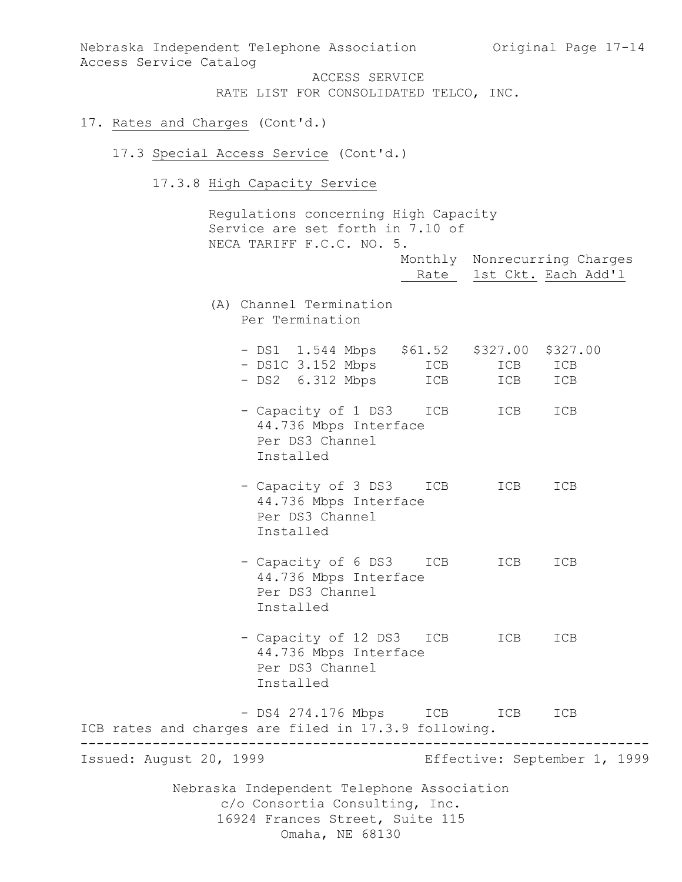Nebraska Independent Telephone Association Original Page 17-14 Access Service Catalog ACCESS SERVICE RATE LIST FOR CONSOLIDATED TELCO, INC. 17. Rates and Charges (Cont'd.) 17.3 Special Access Service (Cont'd.) 17.3.8 High Capacity Service Regulations concerning High Capacity Service are set forth in 7.10 of NECA TARIFF F.C.C. NO. 5. Monthly Nonrecurring Charges Rate 1st Ckt. Each Add'l (A) Channel Termination Per Termination - DS1 1.544 Mbps \$61.52 \$327.00 \$327.00 - DS1C 3.152 Mbps ICB ICB ICB - DS2 6.312 Mbps ICB ICB ICB - Capacity of 1 DS3 ICB ICB ICB 44.736 Mbps Interface Per DS3 Channel Installed - Capacity of 3 DS3 ICB ICB ICB 44.736 Mbps Interface Per DS3 Channel Installed - Capacity of 6 DS3 ICB ICB ICB 44.736 Mbps Interface Per DS3 Channel Installed - Capacity of 12 DS3 ICB ICB ICB 44.736 Mbps Interface Per DS3 Channel Installed - DS4 274.176 Mbps ICB ICB ICB ICB rates and charges are filed in 17.3.9 following. -----------------------------------------------------------------------

Effective: September 1, 1999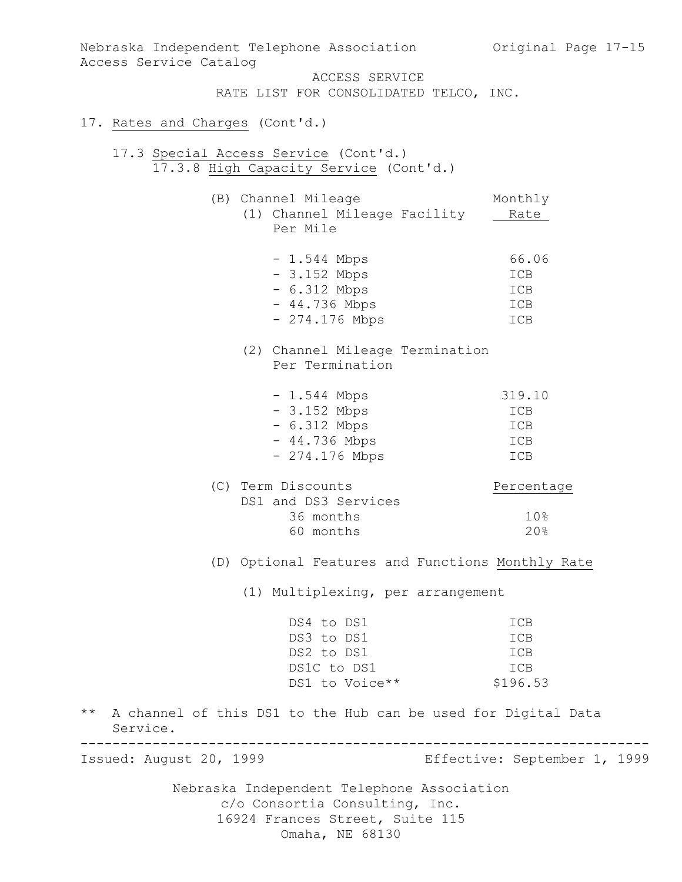| Nebraska Independent Telephone Association 60 Original Page 17-15<br>Access Service Catalog<br>ACCESS SERVICE<br>RATE LIST FOR CONSOLIDATED TELCO, INC. |                                    |
|---------------------------------------------------------------------------------------------------------------------------------------------------------|------------------------------------|
| 17. Rates and Charges (Cont'd.)                                                                                                                         |                                    |
|                                                                                                                                                         |                                    |
| 17.3 Special Access Service (Cont'd.)<br>17.3.8 High Capacity Service (Cont'd.)                                                                         |                                    |
| (B) Channel Mileage<br>(1) Channel Mileage Facility<br>Per Mile                                                                                         | Monthly<br>Rate                    |
| $-1.544$ Mbps<br>$-3.152$ Mbps<br>$-6.312$ Mbps<br>$-44.736$ Mbps<br>$-274.176$ Mbps                                                                    | 66.06<br>ICB<br>ICB<br>ICB<br>ICB  |
| (2) Channel Mileage Termination<br>Per Termination                                                                                                      |                                    |
| $-1.544$ Mbps<br>$-3.152$ Mbps<br>$-6.312$ Mbps<br>$-44.736$ Mbps<br>$-274.176$ Mbps                                                                    | 319.10<br>ICB<br>ICB<br>ICB<br>ICB |
| (C) Term Discounts                                                                                                                                      | Percentage                         |

| (C) Term Discounts   | Percentage      |
|----------------------|-----------------|
| DS1 and DS3 Services |                 |
| 36 months            | 10 <sup>g</sup> |
| 60 months            | 20%             |
|                      |                 |

(D) Optional Features and Functions Monthly Rate

(1) Multiplexing, per arrangement

| ICB        |
|------------|
| <b>TCB</b> |
| <b>TCB</b> |
| <b>TCB</b> |
| \$196.53   |
|            |

\*\* A channel of this DS1 to the Hub can be used for Digital Data Service.

----------------------------------------------------------------------- Effective: September 1, 1999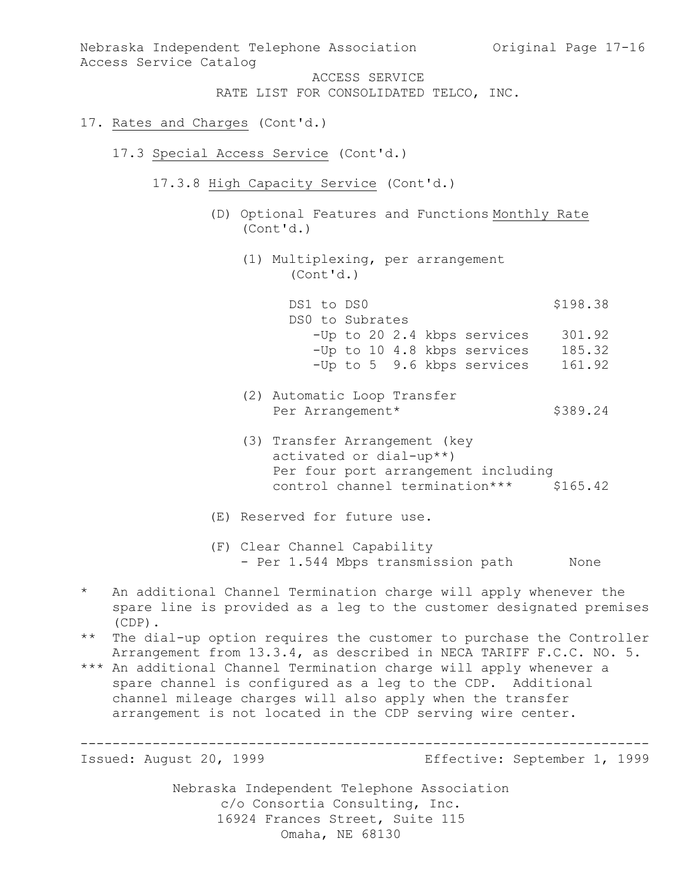Nebraska Independent Telephone Association Original Page 17-16 Access Service Catalog ACCESS SERVICE RATE LIST FOR CONSOLIDATED TELCO, INC. 17. Rates and Charges (Cont'd.) 17.3 Special Access Service (Cont'd.) 17.3.8 High Capacity Service (Cont'd.) (D) Optional Features and Functions Monthly Rate (Cont'd.) (1) Multiplexing, per arrangement (Cont'd.) DS1 to DS0 \$198.38 DS0 to Subrates -Up to 20 2.4 kbps services 301.92 -Up to 10 4.8 kbps services 185.32 -Up to 5 9.6 kbps services 161.92 (2) Automatic Loop Transfer Per Arrangement\* \$389.24 (3) Transfer Arrangement (key activated or dial-up\*\*) Per four port arrangement including control channel termination\*\*\* \$165.42 (E) Reserved for future use. (F) Clear Channel Capability - Per 1.544 Mbps transmission path Mone \* An additional Channel Termination charge will apply whenever the

- spare line is provided as a leg to the customer designated premises (CDP).
- \*\* The dial-up option requires the customer to purchase the Controller Arrangement from 13.3.4, as described in NECA TARIFF F.C.C. NO. 5.
- \*\*\* An additional Channel Termination charge will apply whenever a spare channel is configured as a leg to the CDP. Additional channel mileage charges will also apply when the transfer arrangement is not located in the CDP serving wire center.

-----------------------------------------------------------------------

Effective: September 1, 1999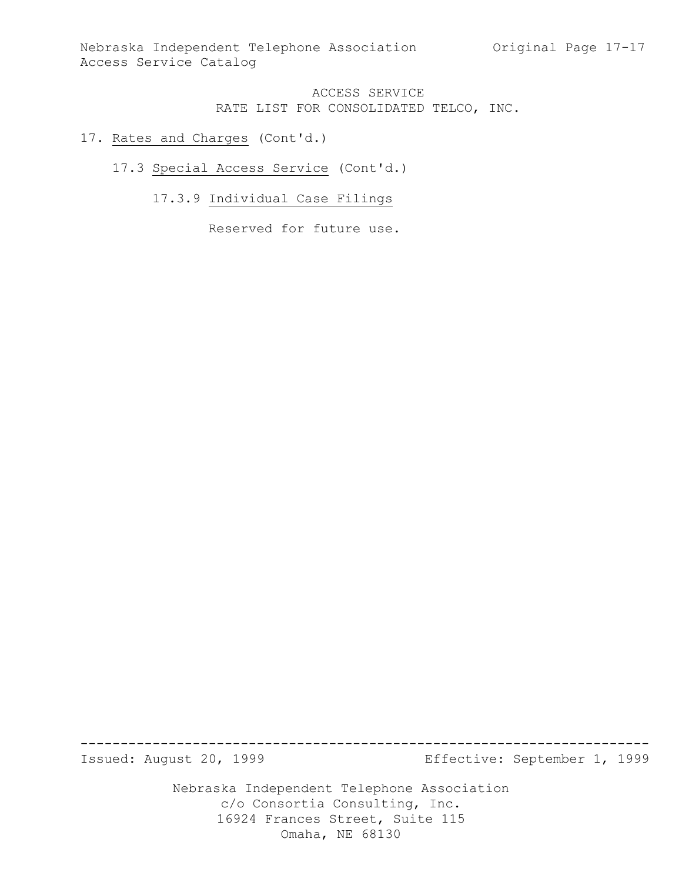Nebraska Independent Telephone Association Original Page 17-17 Access Service Catalog

# ACCESS SERVICE RATE LIST FOR CONSOLIDATED TELCO, INC.

### 17. Rates and Charges (Cont'd.)

### 17.3 Special Access Service (Cont'd.)

# 17.3.9 Individual Case Filings

Reserved for future use.

----------------------------------------------------------------------- Effective: September 1, 1999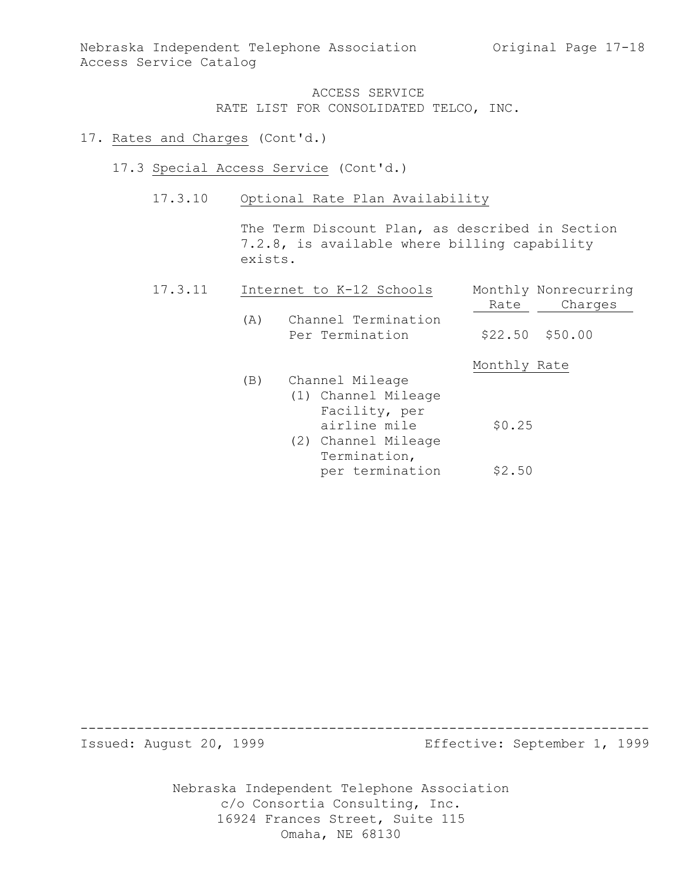Nebraska Independent Telephone Association Original Page 17-18 Access Service Catalog

> ACCESS SERVICE RATE LIST FOR CONSOLIDATED TELCO, INC.

#### 17. Rates and Charges (Cont'd.)

- 17.3 Special Access Service (Cont'd.)
	- 17.3.10 Optional Rate Plan Availability

The Term Discount Plan, as described in Section 7.2.8, is available where billing capability exists.

| 17.3.11 |     | Internet to K-12 Schools                                                                                       | Monthly Nonrecurring<br>Charges<br>Rate |
|---------|-----|----------------------------------------------------------------------------------------------------------------|-----------------------------------------|
|         | (A) | Channel Termination<br>Per Termination                                                                         | $$22.50$ $$50.00$                       |
|         |     |                                                                                                                | Monthly Rate                            |
|         | (B) | Channel Mileage<br>(1) Channel Mileage<br>Facility, per<br>airline mile<br>(2) Channel Mileage<br>Termination, | \$0.25                                  |
|         |     | per termination                                                                                                | \$2.50                                  |

----------------------------------------------------------------------- Effective: September 1, 1999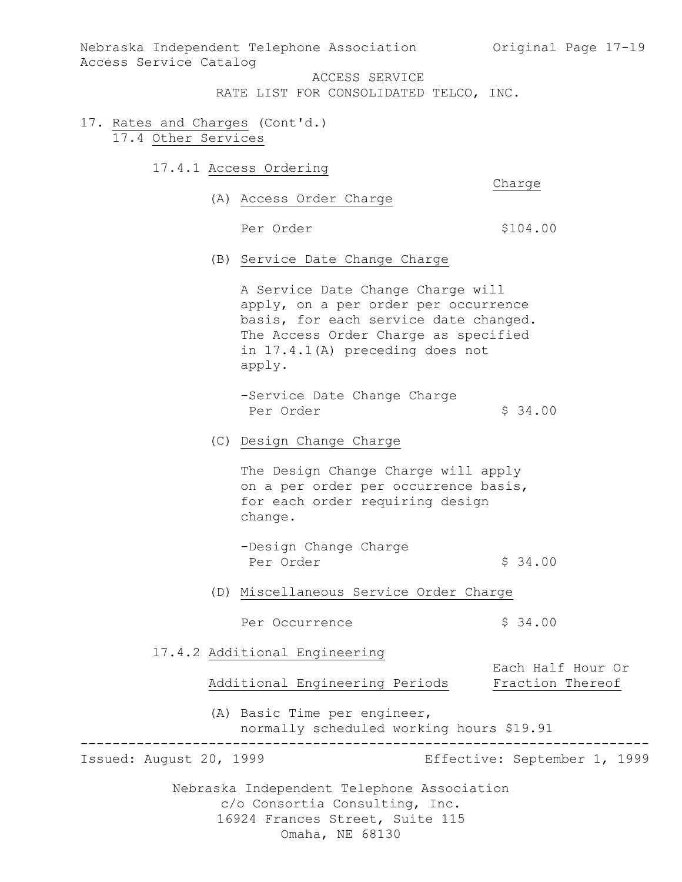Nebraska Independent Telephone Association 60 Original Page 17-19 Access Service Catalog

ACCESS SERVICE

RATE LIST FOR CONSOLIDATED TELCO, INC.

- 17. Rates and Charges (Cont'd.) 17.4 Other Services
	- 17.4.1 Access Ordering

Charge

(A) Access Order Charge

Per Order  $$104.00$ 

(B) Service Date Change Charge

A Service Date Change Charge will apply, on a per order per occurrence basis, for each service date changed. The Access Order Charge as specified in 17.4.1(A) preceding does not apply.

- -Service Date Change Charge Per Order  $$34.00$
- (C) Design Change Charge

The Design Change Charge will apply on a per order per occurrence basis, for each order requiring design change.

- -Design Change Charge Per Order  $\frac{1}{2}$  34.00
- (D) Miscellaneous Service Order Charge
	- Per Occurrence  $\frac{1}{2}$  \$ 34.00
- 17.4.2 Additional Engineering

Additional Engineering Periods Fraction Thereof

(A) Basic Time per engineer, normally scheduled working hours \$19.91

----------------------------------------------------------------------- Effective: September 1, 1999

Each Half Hour Or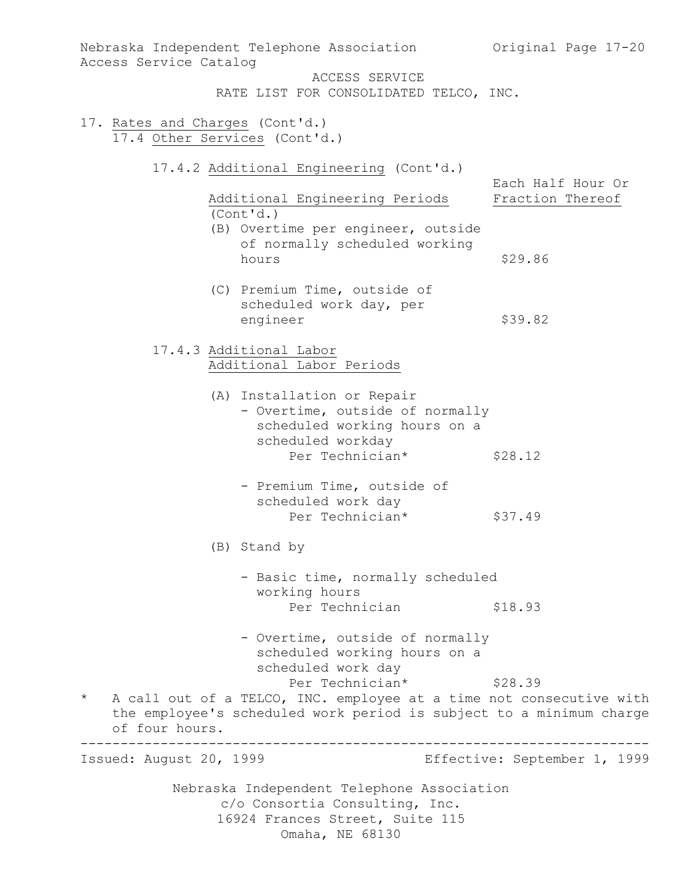Nebraska Independent Telephone Association c/o Consortia Consulting, Inc. 16924 Frances Street, Suite 115 Nebraska Independent Telephone Association (Original Page 17-20) Access Service Catalog ACCESS SERVICE RATE LIST FOR CONSOLIDATED TELCO, INC. 17. Rates and Charges (Cont'd.) 17.4 Other Services (Cont'd.) 17.4.2 Additional Engineering (Cont'd.) Each Half Hour Or Additional Engineering Periods Fraction Thereof (Cont'd.) (B) Overtime per engineer, outside of normally scheduled working \$29.86 (C) Premium Time, outside of scheduled work day, per engineer \$39.82 17.4.3 Additional Labor Additional Labor Periods (A) Installation or Repair - Overtime, outside of normally scheduled working hours on a scheduled workday Per Technician\* \$28.12 - Premium Time, outside of scheduled work day Per Technician\* \$37.49 (B) Stand by - Basic time, normally scheduled working hours Per Technician \$18.93 - Overtime, outside of normally scheduled working hours on a scheduled work day Per Technician\* \$28.39 \* A call out of a TELCO, INC. employee at a time not consecutive with the employee's scheduled work period is subject to a minimum charge of four hours. ----------------------------------------------------------------------- Effective: September 1, 1999

Omaha, NE 68130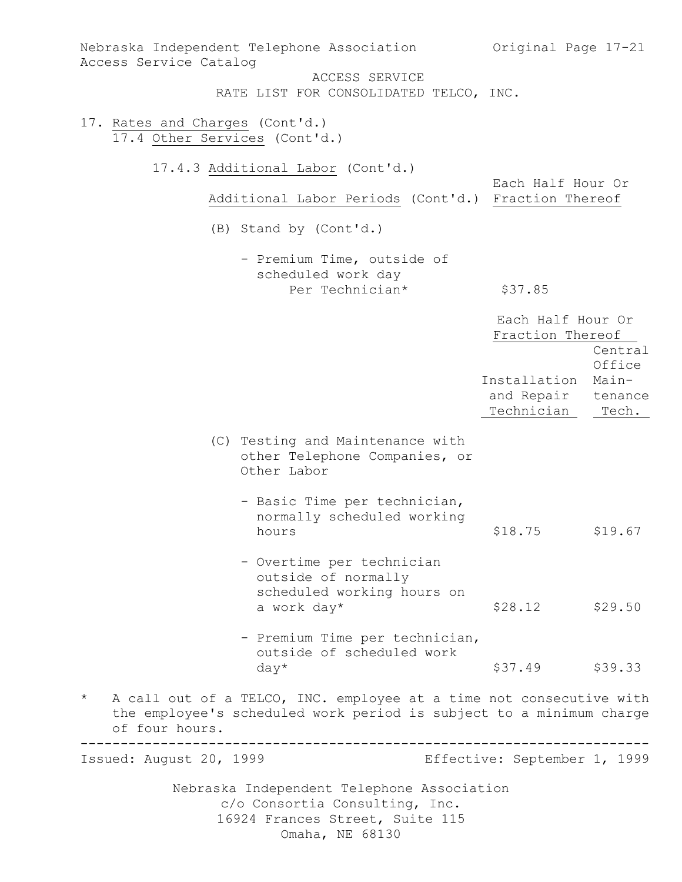| Access Service Catalog                                           | Nebraska Independent Telephone Association                                                                                                 | Original Page 17-21                      |                                     |
|------------------------------------------------------------------|--------------------------------------------------------------------------------------------------------------------------------------------|------------------------------------------|-------------------------------------|
|                                                                  | ACCESS SERVICE<br>RATE LIST FOR CONSOLIDATED TELCO, INC.                                                                                   |                                          |                                     |
| 17. Rates and Charges (Cont'd.)<br>17.4 Other Services (Cont'd.) |                                                                                                                                            |                                          |                                     |
|                                                                  | 17.4.3 Additional Labor (Cont'd.)                                                                                                          | Each Half Hour Or                        |                                     |
|                                                                  | Additional Labor Periods (Cont'd.) Fraction Thereof                                                                                        |                                          |                                     |
|                                                                  | (B) Stand by (Cont'd.)                                                                                                                     |                                          |                                     |
|                                                                  | - Premium Time, outside of<br>scheduled work day<br>Per Technician*                                                                        | \$37.85                                  |                                     |
|                                                                  |                                                                                                                                            |                                          |                                     |
|                                                                  |                                                                                                                                            | Each Half Hour Or<br>Fraction Thereof    | Central                             |
|                                                                  |                                                                                                                                            | Installation<br>and Repair<br>Technician | Office<br>Main-<br>tenance<br>Tech. |
|                                                                  | (C) Testing and Maintenance with<br>other Telephone Companies, or<br>Other Labor                                                           |                                          |                                     |
|                                                                  | - Basic Time per technician,<br>normally scheduled working<br>hours                                                                        | \$18.75                                  | \$19.67                             |
|                                                                  | - Overtime per technician<br>outside of normally<br>scheduled working hours on<br>a work day*                                              | \$28.12                                  | \$29.50                             |
|                                                                  |                                                                                                                                            |                                          |                                     |
|                                                                  | - Premium Time per technician,<br>outside of scheduled work<br>$day*$                                                                      | \$37.49 \$39.33                          |                                     |
| $^\star$<br>of four hours.                                       | A call out of a TELCO, INC. employee at a time not consecutive with<br>the employee's scheduled work period is subject to a minimum charge |                                          |                                     |
| Issued: August 20, 1999                                          |                                                                                                                                            | Effective: September 1, 1999             |                                     |
|                                                                  | Nebraska Independent Telephone Association<br>c/o Consortia Consulting, Inc.<br>16924 Frances Street, Suite 115<br>Omaha, NE 68130         |                                          |                                     |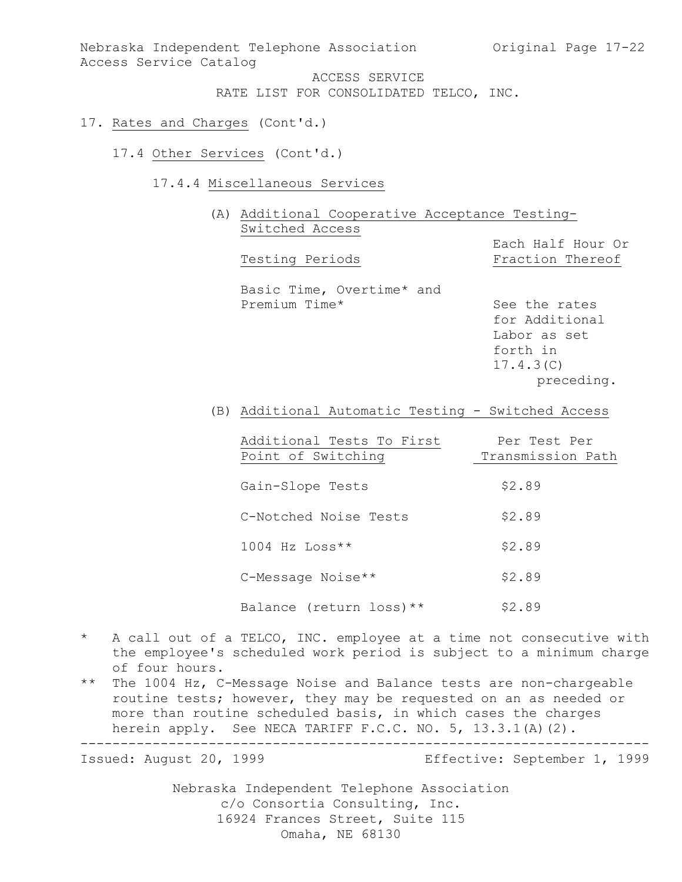Nebraska Independent Telephone Association (Original Page 17-22) Access Service Catalog

ACCESS SERVICE

RATE LIST FOR CONSOLIDATED TELCO, INC.

- 17. Rates and Charges (Cont'd.)
	- 17.4 Other Services (Cont'd.)
		- 17.4.4 Miscellaneous Services
			- (A) Additional Cooperative Acceptance Testing-Switched Access

Each Half Hour Or Testing Periods Fraction Thereof Basic Time, Overtime\* and<br>Premium Time\* See the rates for Additional Labor as set forth in

(B) Additional Automatic Testing - Switched Access

| Additional Tests To First | Per Test Per      |
|---------------------------|-------------------|
| Point of Switching        | Transmission Path |
|                           |                   |
| Gain-Slope Tests          | \$2.89            |
|                           |                   |
| C-Notched Noise Tests     | \$2.89            |
|                           |                   |
| $1004$ Hz Loss**          | \$2.89            |
| C-Message Noise**         | \$2.89            |
|                           |                   |
| Balance (return loss) **  | \$2.89            |

- \* A call out of a TELCO, INC. employee at a time not consecutive with the employee's scheduled work period is subject to a minimum charge of four hours.
- \*\* The 1004 Hz, C-Message Noise and Balance tests are non-chargeable routine tests; however, they may be requested on an as needed or more than routine scheduled basis, in which cases the charges herein apply. See NECA TARIFF F.C.C. NO. 5, 13.3.1(A)(2).

-----------------------------------------------------------------------

Effective: September 1, 1999

17.4.3(C)

preceding.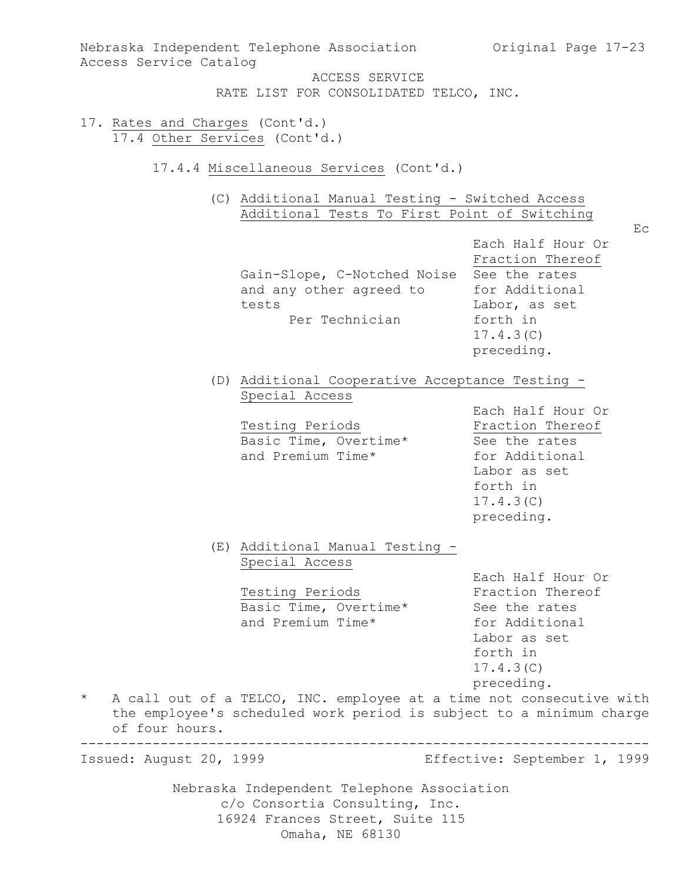Nebraska Independent Telephone Association c/o Consortia Consulting, Inc. 16924 Frances Street, Suite 115 Omaha, NE 68130 Nebraska Independent Telephone Association (Original Page 17-23) Access Service Catalog ACCESS SERVICE RATE LIST FOR CONSOLIDATED TELCO, INC. 17. Rates and Charges (Cont'd.) 17.4 Other Services (Cont'd.) 17.4.4 Miscellaneous Services (Cont'd.) (C) Additional Manual Testing - Switched Access Additional Tests To First Point of Switching Ec Each Half Hour Or Fraction Thereof Gain-Slope, C-Notched Noise See the rates and any other agreed to for Additional tests Labor, as set<br>Per Technician and forth in Per Technician 17.4.3(C) preceding. (D) Additional Cooperative Acceptance Testing - Special Access Each Half Hour Or<br>Fraction Thereof Testing Periods **Fraction Thereof** Basic Time, Overtime\* See the rates and Premium Time\* for Additional Labor as set forth in 17.4.3(C) preceding. (E) Additional Manual Testing - Special Access Each Half Hour Or<br>Fraction Thereof Testing Periods **Fraction** Thereof Basic Time, Overtime\* See the rates and Premium Time\* for Additional Labor as set forth in 17.4.3(C) preceding. \* A call out of a TELCO, INC. employee at a time not consecutive with the employee's scheduled work period is subject to a minimum charge of four hours. ----------------------------------------------------------------------- Effective: September 1, 1999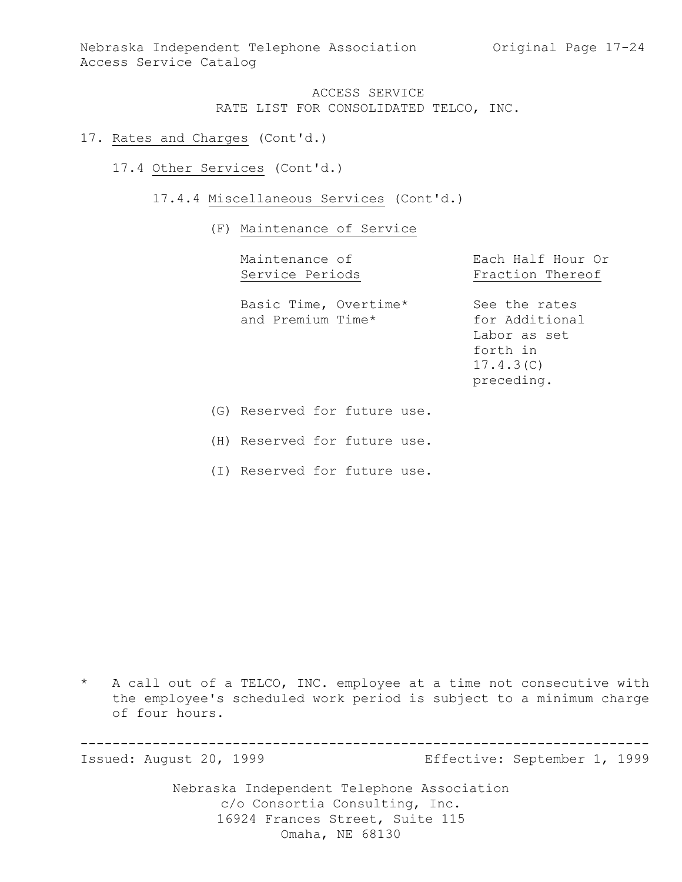Nebraska Independent Telephone Association (Original Page 17-24) Access Service Catalog

> ACCESS SERVICE RATE LIST FOR CONSOLIDATED TELCO, INC.

- 17. Rates and Charges (Cont'd.)
	- 17.4 Other Services (Cont'd.)
		- 17.4.4 Miscellaneous Services (Cont'd.)
			- (F) Maintenance of Service

| Maintenance of                             | Each Half Hour Or                                                                      |  |  |
|--------------------------------------------|----------------------------------------------------------------------------------------|--|--|
| Service Periods                            | Fraction Thereof                                                                       |  |  |
| Basic Time, Overtime*<br>and Premium Time* | See the rates<br>for Additional<br>Labor as set<br>forth in<br>17.4.3(C)<br>preceding. |  |  |

- (G) Reserved for future use.
- (H) Reserved for future use.
- (I) Reserved for future use.

\* A call out of a TELCO, INC. employee at a time not consecutive with the employee's scheduled work period is subject to a minimum charge of four hours.

----------------------------------------------------------------------- Effective: September 1, 1999